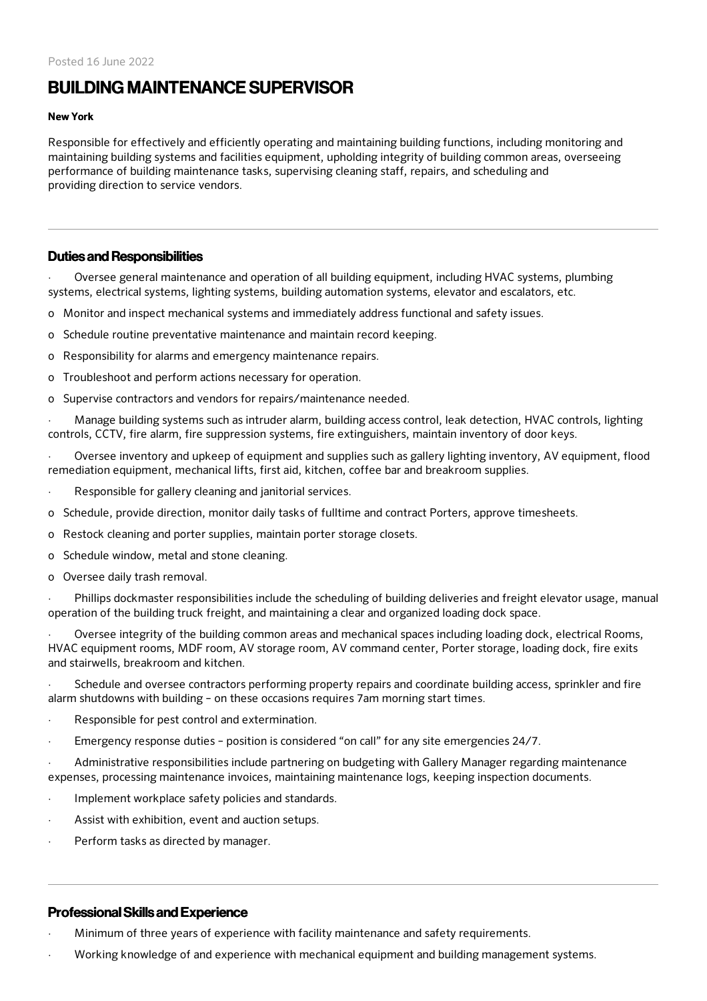# **BUILDING MAINTENANCE SUPERVISOR**

#### New York

Responsible for effectively and efficiently operating and maintaining building functions, including monitoring and maintaining building systems and facilities equipment, upholding integrity of building common areas, overseeing performance of building maintenance tasks, supervising cleaning staff, repairs, and scheduling and providing direction to service vendors.

## Duties and Responsibilities

· Oversee general maintenance and operation of all building equipment, including HVAC systems, plumbing systems, electrical systems, lighting systems, building automation systems, elevator and escalators, etc.

- o Monitor and inspect mechanical systems and immediately address functional and safety issues.
- o Schedule routine preventative maintenance and maintain record keeping.
- o Responsibility for alarms and emergency maintenance repairs.
- o Troubleshoot and perform actions necessary for operation.
- o Supervise contractors and vendors for repairs/maintenance needed.
- · Manage building systems such as intruder alarm, building access control, leak detection, HVAC controls, lighting controls, CCTV, fire alarm, fire suppression systems, fire extinguishers, maintain inventory of door keys.
- · Oversee inventory and upkeep of equipment and supplies such as gallery lighting inventory, AV equipment, flood remediation equipment, mechanical lifts, first aid, kitchen, coffee bar and breakroom supplies.
- Responsible for gallery cleaning and janitorial services.
- o Schedule, provide direction, monitor daily tasks of fulltime and contract Porters, approve timesheets.
- o Restock cleaning and porter supplies, maintain porter storage closets.
- o Schedule window, metal and stone cleaning.
- o Oversee daily trash removal.
- Phillips dockmaster responsibilities include the scheduling of building deliveries and freight elevator usage, manual operation of the building truck freight, and maintaining a clear and organized loading dock space.

· Oversee integrity of the building common areas and mechanical spaces including loading dock, electrical Rooms, HVAC equipment rooms, MDF room, AV storage room, AV command center, Porter storage, loading dock, fire exits and stairwells, breakroom and kitchen.

Schedule and oversee contractors performing property repairs and coordinate building access, sprinkler and fire alarm shutdowns with building – on these occasions requires 7am morning start times.

- Responsible for pest control and extermination.
- · Emergency response duties position is considered "on call" for any site emergencies 24/7.

· Administrative responsibilities include partnering on budgeting with Gallery Manager regarding maintenance expenses, processing maintenance invoices, maintaining maintenance logs, keeping inspection documents.

- Implement workplace safety policies and standards.
- Assist with exhibition, event and auction setups.
- Perform tasks as directed by manager.

## ProfessionalSkills and Experience

- · Minimum of three years of experience with facility maintenance and safety requirements.
- · Working knowledge of and experience with mechanical equipment and building management systems.